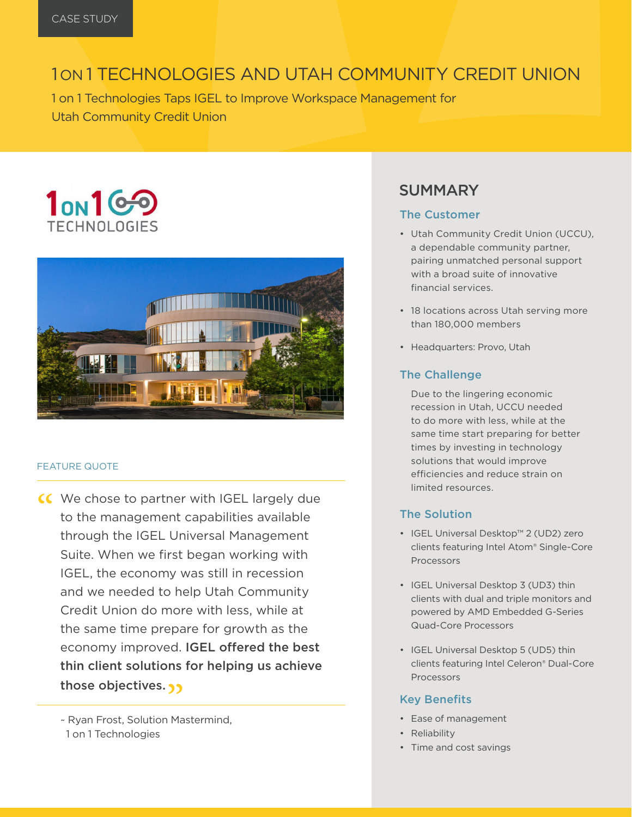## 1 ON 1 TECHNOLOGIES AND UTAH COMMUNITY CREDIT UNION

1 on 1 Technologies Taps IGEL to Improve Workspace Management for Utah Community Credit Union

# $1<sub>ON</sub>1<sup>6</sup>$ **TECHNOLOGIES**



#### FEATURE QUOTE

CC We chose to partner with IGEL largely due<br>to the management capabilities available<br>through the IGEL Liniversal Management to the management capabilities available through the IGEL Universal Management Suite. When we first began working with IGEL, the economy was still in recession and we needed to help Utah Community Credit Union do more with less, while at the same time prepare for growth as the economy improved. IGEL offered the best thin client solutions for helping us achieve those objectives.  $\gamma$ 

~ Ryan Frost, Solution Mastermind, 1 on 1 Technologies

### SUMMARY

#### The Customer

- Utah Community Credit Union (UCCU), a dependable community partner, pairing unmatched personal support with a broad suite of innovative financial services.
- 18 locations across Utah serving more than 180,000 members
- Headquarters: Provo, Utah

#### The Challenge

Due to the lingering economic recession in Utah, UCCU needed to do more with less, while at the same time start preparing for better times by investing in technology solutions that would improve efficiencies and reduce strain on limited resources.

#### The Solution

- IGEL Universal Desktop™ 2 (UD2) zero clients featuring Intel Atom® Single-Core Processors
- IGEL Universal Desktop 3 (UD3) thin clients with dual and triple monitors and powered by AMD Embedded G-Series Quad-Core Processors
- IGEL Universal Desktop 5 (UD5) thin clients featuring Intel Celeron® Dual-Core Processors

#### Key Benefits

- Ease of management
- Reliability
- Time and cost savings